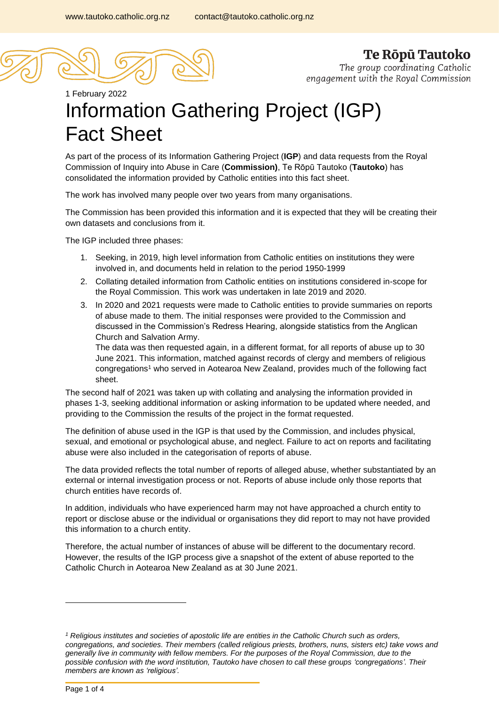

# Te Rōpū Tautoko

The group coordinating Catholic engagement with the Royal Commission

#### 1 February 2022

# Information Gathering Project (IGP) Fact Sheet

As part of the process of its Information Gathering Project (**IGP**) and data requests from the Royal Commission of Inquiry into Abuse in Care (**Commission)**, Te Rōpū Tautoko (**Tautoko**) has consolidated the information provided by Catholic entities into this fact sheet.

The work has involved many people over two years from many organisations.

The Commission has been provided this information and it is expected that they will be creating their own datasets and conclusions from it.

The IGP included three phases:

- 1. Seeking, in 2019, high level information from Catholic entities on institutions they were involved in, and documents held in relation to the period 1950-1999
- 2. Collating detailed information from Catholic entities on institutions considered in-scope for the Royal Commission. This work was undertaken in late 2019 and 2020.
- 3. In 2020 and 2021 requests were made to Catholic entities to provide summaries on reports of abuse made to them. The initial responses were provided to the Commission and discussed in the Commission's Redress Hearing, alongside statistics from the Anglican Church and Salvation Army.

The data was then requested again, in a different format, for all reports of abuse up to 30 June 2021. This information, matched against records of clergy and members of religious congregations<sup>1</sup> who served in Aotearoa New Zealand, provides much of the following fact sheet.

The second half of 2021 was taken up with collating and analysing the information provided in phases 1-3, seeking additional information or asking information to be updated where needed, and providing to the Commission the results of the project in the format requested.

The definition of abuse used in the IGP is that used by the Commission, and includes physical, sexual, and emotional or psychological abuse, and neglect. Failure to act on reports and facilitating abuse were also included in the categorisation of reports of abuse.

The data provided reflects the total number of reports of alleged abuse, whether substantiated by an external or internal investigation process or not. Reports of abuse include only those reports that church entities have records of.

In addition, individuals who have experienced harm may not have approached a church entity to report or disclose abuse or the individual or organisations they did report to may not have provided this information to a church entity.

Therefore, the actual number of instances of abuse will be different to the documentary record. However, the results of the IGP process give a snapshot of the extent of abuse reported to the Catholic Church in Aotearoa New Zealand as at 30 June 2021.

*<sup>1</sup> Religious institutes and societies of apostolic life are entities in the Catholic Church such as orders, congregations, and societies. Their members (called religious priests, brothers, nuns, sisters etc) take vows and generally live in community with fellow members. For the purposes of the Royal Commission, due to the possible confusion with the word institution, Tautoko have chosen to call these groups 'congregations'. Their members are known as 'religious'.*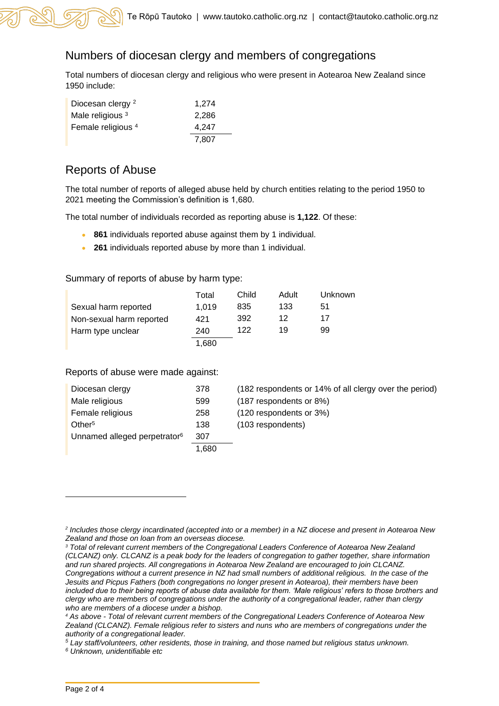## Numbers of diocesan clergy and members of congregations

Total numbers of diocesan clergy and religious who were present in Aotearoa New Zealand since 1950 include:

| Diocesan clergy <sup>2</sup>  | 1.274 |
|-------------------------------|-------|
| Male religious <sup>3</sup>   | 2,286 |
| Female religious <sup>4</sup> | 4.247 |
|                               | 7.807 |

# Reports of Abuse

The total number of reports of alleged abuse held by church entities relating to the period 1950 to 2021 meeting the Commission's definition is 1,680.

The total number of individuals recorded as reporting abuse is **1,122**. Of these:

- **861** individuals reported abuse against them by 1 individual.
- **261** individuals reported abuse by more than 1 individual.

Summary of reports of abuse by harm type:

|                          | Total | Child | Adult | Unknown |
|--------------------------|-------|-------|-------|---------|
| Sexual harm reported     | 1.019 | 835   | 133   | 51      |
| Non-sexual harm reported | 421   | 392   | 12    | 17      |
| Harm type unclear        | 240   | 122   | 19    | 99      |
|                          | 1,680 |       |       |         |

Reports of abuse were made against:

| Diocesan clergy                          | 378   | (182 respondents or 14% of all clergy over the period) |
|------------------------------------------|-------|--------------------------------------------------------|
| Male religious                           | 599   | (187 respondents or 8%)                                |
| Female religious                         | 258   | (120 respondents or 3%)                                |
| Other <sup>5</sup>                       | 138   | (103 respondents)                                      |
| Unnamed alleged perpetrator <sup>6</sup> | 307   |                                                        |
|                                          | 1.680 |                                                        |

*<sup>2</sup> Includes those clergy incardinated (accepted into or a member) in a NZ diocese and present in Aotearoa New Zealand and those on loan from an overseas diocese.*

*<sup>3</sup> Total of relevant current members of the Congregational Leaders Conference of Aotearoa New Zealand (CLCANZ) only. CLCANZ is a peak body for the leaders of congregation to gather together, share information and run shared projects. All congregations in Aotearoa New Zealand are encouraged to join CLCANZ. Congregations without a current presence in NZ had small numbers of additional religious. In the case of the Jesuits and Picpus Fathers (both congregations no longer present in Aotearoa), their members have been included due to their being reports of abuse data available for them. 'Male religious' refers to those brothers and clergy who are members of congregations under the authority of a congregational leader, rather than clergy who are members of a diocese under a bishop.*

*<sup>4</sup> As above - Total of relevant current members of the Congregational Leaders Conference of Aotearoa New Zealand (CLCANZ). Female religious refer to sisters and nuns who are members of congregations under the authority of a congregational leader.*

*<sup>5</sup> Lay staff/volunteers, other residents, those in training, and those named but religious status unknown.*

*<sup>6</sup> Unknown, unidentifiable etc*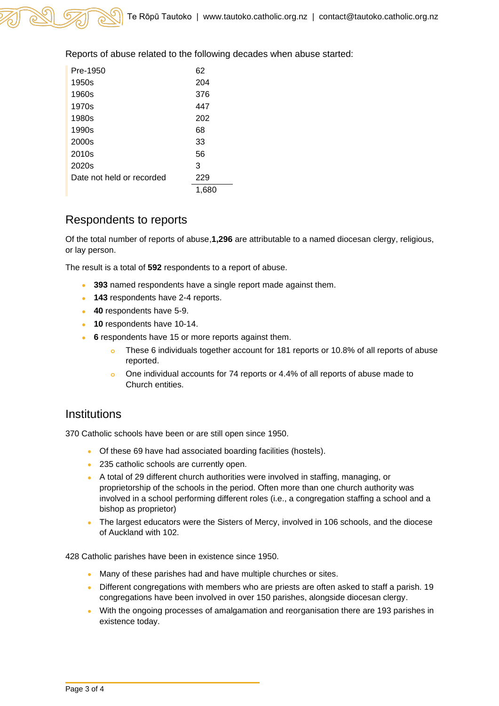

Reports of abuse related to the following decades when abuse started:

| Pre-1950                  | 62    |
|---------------------------|-------|
| 1950s                     | 204   |
| 1960s                     | 376   |
| 1970s                     | 447   |
| 1980s                     | 202   |
| 1990s                     | 68    |
| 2000s                     | 33    |
| 2010 <sub>s</sub>         | 56    |
| 2020s                     | 3     |
| Date not held or recorded | 229   |
|                           | 1,680 |

## Respondents to reports

Of the total number of reports of abuse,**1,296** are attributable to a named diocesan clergy, religious, or lay person.

The result is a total of **592** respondents to a report of abuse.

- **393** named respondents have a single report made against them.
- **143** respondents have 2-4 reports.
- **40** respondents have 5-9.
- **10** respondents have 10-14.
- **6** respondents have 15 or more reports against them.
	- **o** These 6 individuals together account for 181 reports or 10.8% of all reports of abuse reported.
	- **o** One individual accounts for 74 reports or 4.4% of all reports of abuse made to Church entities.

#### **Institutions**

370 Catholic schools have been or are still open since 1950.

- Of these 69 have had associated boarding facilities (hostels).
- 235 catholic schools are currently open.
- A total of 29 different church authorities were involved in staffing, managing, or proprietorship of the schools in the period. Often more than one church authority was involved in a school performing different roles (i.e., a congregation staffing a school and a bishop as proprietor)
- The largest educators were the Sisters of Mercy, involved in 106 schools, and the diocese of Auckland with 102.

428 Catholic parishes have been in existence since 1950.

- Many of these parishes had and have multiple churches or sites.
- Different congregations with members who are priests are often asked to staff a parish. 19 congregations have been involved in over 150 parishes, alongside diocesan clergy.
- With the ongoing processes of amalgamation and reorganisation there are 193 parishes in existence today.